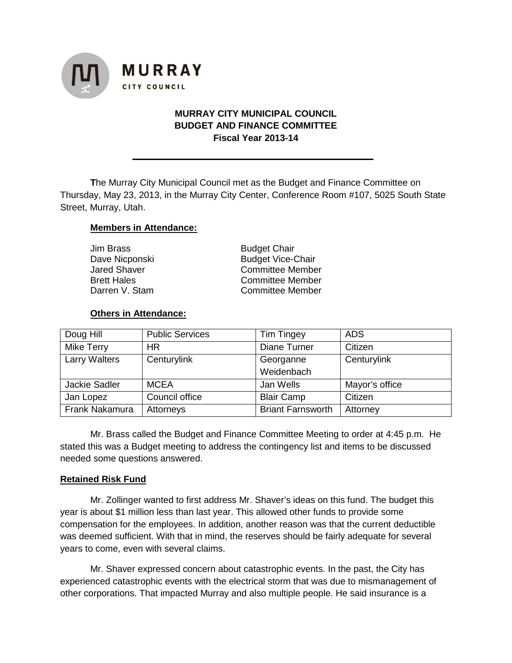

# **MURRAY CITY MUNICIPAL COUNCIL BUDGET AND FINANCE COMMITTEE Fiscal Year 2013-14**

**T**he Murray City Municipal Council met as the Budget and Finance Committee on Thursday, May 23, 2013, in the Murray City Center, Conference Room #107, 5025 South State Street, Murray, Utah.

### **Members in Attendance:**

| Jim Brass          | <b>Budget Chair</b>      |  |
|--------------------|--------------------------|--|
| Dave Nicponski     | <b>Budget Vice-Chair</b> |  |
| Jared Shaver       | <b>Committee Member</b>  |  |
| <b>Brett Hales</b> | <b>Committee Member</b>  |  |
| Darren V. Stam     | <b>Committee Member</b>  |  |
|                    |                          |  |

### **Others in Attendance:**

| Doug Hill            | <b>Public Services</b> | <b>Tim Tingey</b>        | <b>ADS</b>     |
|----------------------|------------------------|--------------------------|----------------|
| Mike Terry           | <b>HR</b>              | Diane Turner             | Citizen        |
| <b>Larry Walters</b> | Centurylink            | Georganne                | Centurylink    |
|                      |                        | Weidenbach               |                |
| <b>Jackie Sadler</b> | <b>MCEA</b>            | Jan Wells                | Mayor's office |
| Jan Lopez            | Council office         | <b>Blair Camp</b>        | Citizen        |
| Frank Nakamura       | Attorneys              | <b>Briant Farnsworth</b> | Attorney       |

Mr. Brass called the Budget and Finance Committee Meeting to order at 4:45 p.m. He stated this was a Budget meeting to address the contingency list and items to be discussed needed some questions answered.

#### **Retained Risk Fund**

Mr. Zollinger wanted to first address Mr. Shaver's ideas on this fund. The budget this year is about \$1 million less than last year. This allowed other funds to provide some compensation for the employees. In addition, another reason was that the current deductible was deemed sufficient. With that in mind, the reserves should be fairly adequate for several years to come, even with several claims.

Mr. Shaver expressed concern about catastrophic events. In the past, the City has experienced catastrophic events with the electrical storm that was due to mismanagement of other corporations. That impacted Murray and also multiple people. He said insurance is a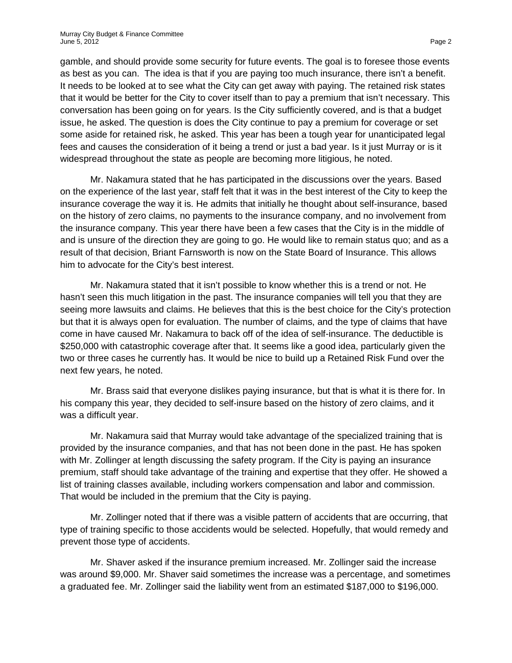gamble, and should provide some security for future events. The goal is to foresee those events as best as you can. The idea is that if you are paying too much insurance, there isn't a benefit. It needs to be looked at to see what the City can get away with paying. The retained risk states that it would be better for the City to cover itself than to pay a premium that isn't necessary. This conversation has been going on for years. Is the City sufficiently covered, and is that a budget issue, he asked. The question is does the City continue to pay a premium for coverage or set some aside for retained risk, he asked. This year has been a tough year for unanticipated legal fees and causes the consideration of it being a trend or just a bad year. Is it just Murray or is it widespread throughout the state as people are becoming more litigious, he noted.

Mr. Nakamura stated that he has participated in the discussions over the years. Based on the experience of the last year, staff felt that it was in the best interest of the City to keep the insurance coverage the way it is. He admits that initially he thought about self-insurance, based on the history of zero claims, no payments to the insurance company, and no involvement from the insurance company. This year there have been a few cases that the City is in the middle of and is unsure of the direction they are going to go. He would like to remain status quo; and as a result of that decision, Briant Farnsworth is now on the State Board of Insurance. This allows him to advocate for the City's best interest.

Mr. Nakamura stated that it isn't possible to know whether this is a trend or not. He hasn't seen this much litigation in the past. The insurance companies will tell you that they are seeing more lawsuits and claims. He believes that this is the best choice for the City's protection but that it is always open for evaluation. The number of claims, and the type of claims that have come in have caused Mr. Nakamura to back off of the idea of self-insurance. The deductible is \$250,000 with catastrophic coverage after that. It seems like a good idea, particularly given the two or three cases he currently has. It would be nice to build up a Retained Risk Fund over the next few years, he noted.

Mr. Brass said that everyone dislikes paying insurance, but that is what it is there for. In his company this year, they decided to self-insure based on the history of zero claims, and it was a difficult year.

Mr. Nakamura said that Murray would take advantage of the specialized training that is provided by the insurance companies, and that has not been done in the past. He has spoken with Mr. Zollinger at length discussing the safety program. If the City is paying an insurance premium, staff should take advantage of the training and expertise that they offer. He showed a list of training classes available, including workers compensation and labor and commission. That would be included in the premium that the City is paying.

Mr. Zollinger noted that if there was a visible pattern of accidents that are occurring, that type of training specific to those accidents would be selected. Hopefully, that would remedy and prevent those type of accidents.

Mr. Shaver asked if the insurance premium increased. Mr. Zollinger said the increase was around \$9,000. Mr. Shaver said sometimes the increase was a percentage, and sometimes a graduated fee. Mr. Zollinger said the liability went from an estimated \$187,000 to \$196,000.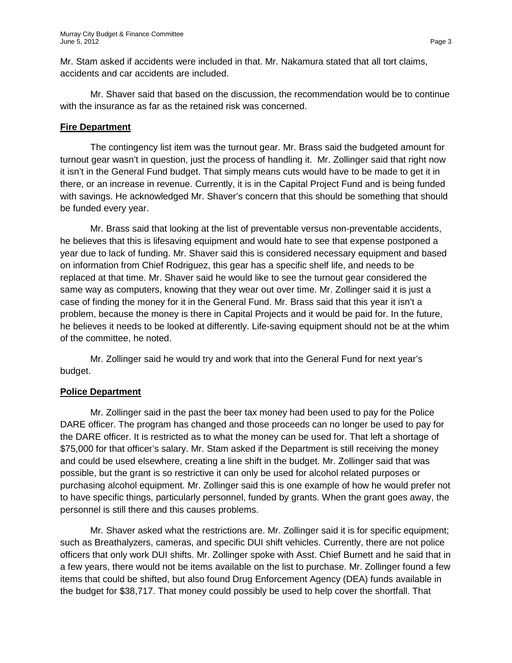Mr. Stam asked if accidents were included in that. Mr. Nakamura stated that all tort claims, accidents and car accidents are included.

Mr. Shaver said that based on the discussion, the recommendation would be to continue with the insurance as far as the retained risk was concerned.

## **Fire Department**

The contingency list item was the turnout gear. Mr. Brass said the budgeted amount for turnout gear wasn't in question, just the process of handling it. Mr. Zollinger said that right now it isn't in the General Fund budget. That simply means cuts would have to be made to get it in there, or an increase in revenue. Currently, it is in the Capital Project Fund and is being funded with savings. He acknowledged Mr. Shaver's concern that this should be something that should be funded every year.

Mr. Brass said that looking at the list of preventable versus non-preventable accidents, he believes that this is lifesaving equipment and would hate to see that expense postponed a year due to lack of funding. Mr. Shaver said this is considered necessary equipment and based on information from Chief Rodriguez, this gear has a specific shelf life, and needs to be replaced at that time. Mr. Shaver said he would like to see the turnout gear considered the same way as computers, knowing that they wear out over time. Mr. Zollinger said it is just a case of finding the money for it in the General Fund. Mr. Brass said that this year it isn't a problem, because the money is there in Capital Projects and it would be paid for. In the future, he believes it needs to be looked at differently. Life-saving equipment should not be at the whim of the committee, he noted.

Mr. Zollinger said he would try and work that into the General Fund for next year's budget.

#### **Police Department**

Mr. Zollinger said in the past the beer tax money had been used to pay for the Police DARE officer. The program has changed and those proceeds can no longer be used to pay for the DARE officer. It is restricted as to what the money can be used for. That left a shortage of \$75,000 for that officer's salary. Mr. Stam asked if the Department is still receiving the money and could be used elsewhere, creating a line shift in the budget. Mr. Zollinger said that was possible, but the grant is so restrictive it can only be used for alcohol related purposes or purchasing alcohol equipment. Mr. Zollinger said this is one example of how he would prefer not to have specific things, particularly personnel, funded by grants. When the grant goes away, the personnel is still there and this causes problems.

Mr. Shaver asked what the restrictions are. Mr. Zollinger said it is for specific equipment; such as Breathalyzers, cameras, and specific DUI shift vehicles. Currently, there are not police officers that only work DUI shifts. Mr. Zollinger spoke with Asst. Chief Burnett and he said that in a few years, there would not be items available on the list to purchase. Mr. Zollinger found a few items that could be shifted, but also found Drug Enforcement Agency (DEA) funds available in the budget for \$38,717. That money could possibly be used to help cover the shortfall. That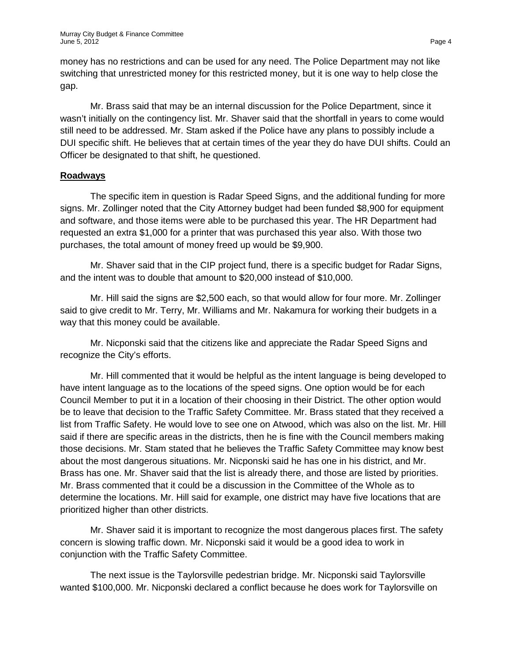money has no restrictions and can be used for any need. The Police Department may not like switching that unrestricted money for this restricted money, but it is one way to help close the gap.

Mr. Brass said that may be an internal discussion for the Police Department, since it wasn't initially on the contingency list. Mr. Shaver said that the shortfall in years to come would still need to be addressed. Mr. Stam asked if the Police have any plans to possibly include a DUI specific shift. He believes that at certain times of the year they do have DUI shifts. Could an Officer be designated to that shift, he questioned.

# **Roadways**

The specific item in question is Radar Speed Signs, and the additional funding for more signs. Mr. Zollinger noted that the City Attorney budget had been funded \$8,900 for equipment and software, and those items were able to be purchased this year. The HR Department had requested an extra \$1,000 for a printer that was purchased this year also. With those two purchases, the total amount of money freed up would be \$9,900.

Mr. Shaver said that in the CIP project fund, there is a specific budget for Radar Signs, and the intent was to double that amount to \$20,000 instead of \$10,000.

Mr. Hill said the signs are \$2,500 each, so that would allow for four more. Mr. Zollinger said to give credit to Mr. Terry, Mr. Williams and Mr. Nakamura for working their budgets in a way that this money could be available.

Mr. Nicponski said that the citizens like and appreciate the Radar Speed Signs and recognize the City's efforts.

Mr. Hill commented that it would be helpful as the intent language is being developed to have intent language as to the locations of the speed signs. One option would be for each Council Member to put it in a location of their choosing in their District. The other option would be to leave that decision to the Traffic Safety Committee. Mr. Brass stated that they received a list from Traffic Safety. He would love to see one on Atwood, which was also on the list. Mr. Hill said if there are specific areas in the districts, then he is fine with the Council members making those decisions. Mr. Stam stated that he believes the Traffic Safety Committee may know best about the most dangerous situations. Mr. Nicponski said he has one in his district, and Mr. Brass has one. Mr. Shaver said that the list is already there, and those are listed by priorities. Mr. Brass commented that it could be a discussion in the Committee of the Whole as to determine the locations. Mr. Hill said for example, one district may have five locations that are prioritized higher than other districts.

Mr. Shaver said it is important to recognize the most dangerous places first. The safety concern is slowing traffic down. Mr. Nicponski said it would be a good idea to work in conjunction with the Traffic Safety Committee.

The next issue is the Taylorsville pedestrian bridge. Mr. Nicponski said Taylorsville wanted \$100,000. Mr. Nicponski declared a conflict because he does work for Taylorsville on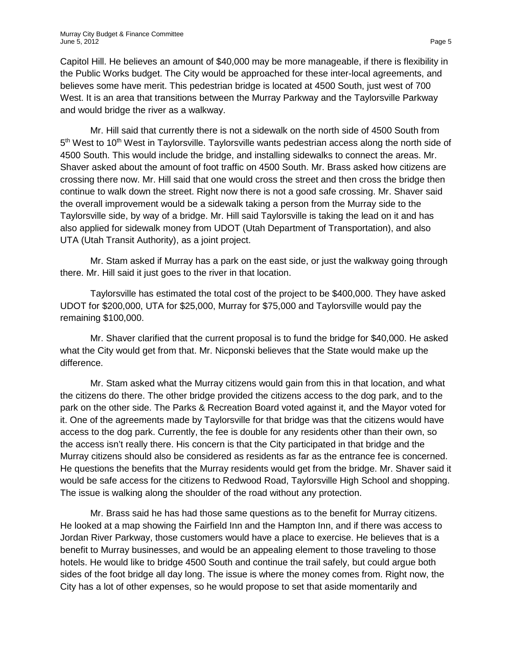Capitol Hill. He believes an amount of \$40,000 may be more manageable, if there is flexibility in the Public Works budget. The City would be approached for these inter-local agreements, and believes some have merit. This pedestrian bridge is located at 4500 South, just west of 700 West. It is an area that transitions between the Murray Parkway and the Taylorsville Parkway and would bridge the river as a walkway.

Mr. Hill said that currently there is not a sidewalk on the north side of 4500 South from 5<sup>th</sup> West to 10<sup>th</sup> West in Taylorsville. Taylorsville wants pedestrian access along the north side of 4500 South. This would include the bridge, and installing sidewalks to connect the areas. Mr. Shaver asked about the amount of foot traffic on 4500 South. Mr. Brass asked how citizens are crossing there now. Mr. Hill said that one would cross the street and then cross the bridge then continue to walk down the street. Right now there is not a good safe crossing. Mr. Shaver said the overall improvement would be a sidewalk taking a person from the Murray side to the Taylorsville side, by way of a bridge. Mr. Hill said Taylorsville is taking the lead on it and has also applied for sidewalk money from UDOT (Utah Department of Transportation), and also UTA (Utah Transit Authority), as a joint project.

Mr. Stam asked if Murray has a park on the east side, or just the walkway going through there. Mr. Hill said it just goes to the river in that location.

Taylorsville has estimated the total cost of the project to be \$400,000. They have asked UDOT for \$200,000, UTA for \$25,000, Murray for \$75,000 and Taylorsville would pay the remaining \$100,000.

Mr. Shaver clarified that the current proposal is to fund the bridge for \$40,000. He asked what the City would get from that. Mr. Nicponski believes that the State would make up the difference.

Mr. Stam asked what the Murray citizens would gain from this in that location, and what the citizens do there. The other bridge provided the citizens access to the dog park, and to the park on the other side. The Parks & Recreation Board voted against it, and the Mayor voted for it. One of the agreements made by Taylorsville for that bridge was that the citizens would have access to the dog park. Currently, the fee is double for any residents other than their own, so the access isn't really there. His concern is that the City participated in that bridge and the Murray citizens should also be considered as residents as far as the entrance fee is concerned. He questions the benefits that the Murray residents would get from the bridge. Mr. Shaver said it would be safe access for the citizens to Redwood Road, Taylorsville High School and shopping. The issue is walking along the shoulder of the road without any protection.

Mr. Brass said he has had those same questions as to the benefit for Murray citizens. He looked at a map showing the Fairfield Inn and the Hampton Inn, and if there was access to Jordan River Parkway, those customers would have a place to exercise. He believes that is a benefit to Murray businesses, and would be an appealing element to those traveling to those hotels. He would like to bridge 4500 South and continue the trail safely, but could argue both sides of the foot bridge all day long. The issue is where the money comes from. Right now, the City has a lot of other expenses, so he would propose to set that aside momentarily and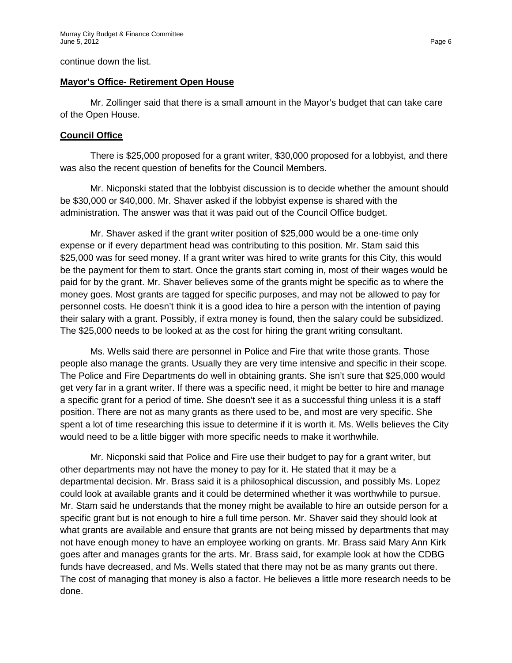continue down the list.

#### **Mayor's Office- Retirement Open House**

Mr. Zollinger said that there is a small amount in the Mayor's budget that can take care of the Open House.

### **Council Office**

There is \$25,000 proposed for a grant writer, \$30,000 proposed for a lobbyist, and there was also the recent question of benefits for the Council Members.

Mr. Nicponski stated that the lobbyist discussion is to decide whether the amount should be \$30,000 or \$40,000. Mr. Shaver asked if the lobbyist expense is shared with the administration. The answer was that it was paid out of the Council Office budget.

Mr. Shaver asked if the grant writer position of \$25,000 would be a one-time only expense or if every department head was contributing to this position. Mr. Stam said this \$25,000 was for seed money. If a grant writer was hired to write grants for this City, this would be the payment for them to start. Once the grants start coming in, most of their wages would be paid for by the grant. Mr. Shaver believes some of the grants might be specific as to where the money goes. Most grants are tagged for specific purposes, and may not be allowed to pay for personnel costs. He doesn't think it is a good idea to hire a person with the intention of paying their salary with a grant. Possibly, if extra money is found, then the salary could be subsidized. The \$25,000 needs to be looked at as the cost for hiring the grant writing consultant.

Ms. Wells said there are personnel in Police and Fire that write those grants. Those people also manage the grants. Usually they are very time intensive and specific in their scope. The Police and Fire Departments do well in obtaining grants. She isn't sure that \$25,000 would get very far in a grant writer. If there was a specific need, it might be better to hire and manage a specific grant for a period of time. She doesn't see it as a successful thing unless it is a staff position. There are not as many grants as there used to be, and most are very specific. She spent a lot of time researching this issue to determine if it is worth it. Ms. Wells believes the City would need to be a little bigger with more specific needs to make it worthwhile.

Mr. Nicponski said that Police and Fire use their budget to pay for a grant writer, but other departments may not have the money to pay for it. He stated that it may be a departmental decision. Mr. Brass said it is a philosophical discussion, and possibly Ms. Lopez could look at available grants and it could be determined whether it was worthwhile to pursue. Mr. Stam said he understands that the money might be available to hire an outside person for a specific grant but is not enough to hire a full time person. Mr. Shaver said they should look at what grants are available and ensure that grants are not being missed by departments that may not have enough money to have an employee working on grants. Mr. Brass said Mary Ann Kirk goes after and manages grants for the arts. Mr. Brass said, for example look at how the CDBG funds have decreased, and Ms. Wells stated that there may not be as many grants out there. The cost of managing that money is also a factor. He believes a little more research needs to be done.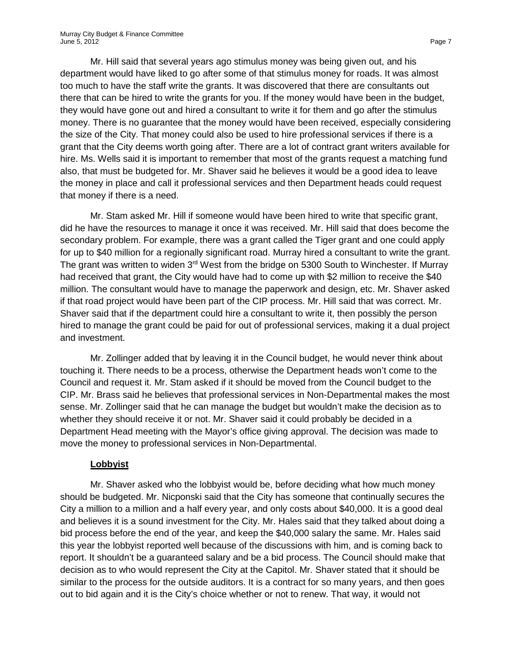Mr. Hill said that several years ago stimulus money was being given out, and his department would have liked to go after some of that stimulus money for roads. It was almost too much to have the staff write the grants. It was discovered that there are consultants out there that can be hired to write the grants for you. If the money would have been in the budget, they would have gone out and hired a consultant to write it for them and go after the stimulus money. There is no guarantee that the money would have been received, especially considering the size of the City. That money could also be used to hire professional services if there is a grant that the City deems worth going after. There are a lot of contract grant writers available for hire. Ms. Wells said it is important to remember that most of the grants request a matching fund also, that must be budgeted for. Mr. Shaver said he believes it would be a good idea to leave the money in place and call it professional services and then Department heads could request that money if there is a need.

Mr. Stam asked Mr. Hill if someone would have been hired to write that specific grant, did he have the resources to manage it once it was received. Mr. Hill said that does become the secondary problem. For example, there was a grant called the Tiger grant and one could apply for up to \$40 million for a regionally significant road. Murray hired a consultant to write the grant. The grant was written to widen 3<sup>rd</sup> West from the bridge on 5300 South to Winchester. If Murray had received that grant, the City would have had to come up with \$2 million to receive the \$40 million. The consultant would have to manage the paperwork and design, etc. Mr. Shaver asked if that road project would have been part of the CIP process. Mr. Hill said that was correct. Mr. Shaver said that if the department could hire a consultant to write it, then possibly the person hired to manage the grant could be paid for out of professional services, making it a dual project and investment.

Mr. Zollinger added that by leaving it in the Council budget, he would never think about touching it. There needs to be a process, otherwise the Department heads won't come to the Council and request it. Mr. Stam asked if it should be moved from the Council budget to the CIP. Mr. Brass said he believes that professional services in Non-Departmental makes the most sense. Mr. Zollinger said that he can manage the budget but wouldn't make the decision as to whether they should receive it or not. Mr. Shaver said it could probably be decided in a Department Head meeting with the Mayor's office giving approval. The decision was made to move the money to professional services in Non-Departmental.

#### **Lobbyist**

Mr. Shaver asked who the lobbyist would be, before deciding what how much money should be budgeted. Mr. Nicponski said that the City has someone that continually secures the City a million to a million and a half every year, and only costs about \$40,000. It is a good deal and believes it is a sound investment for the City. Mr. Hales said that they talked about doing a bid process before the end of the year, and keep the \$40,000 salary the same. Mr. Hales said this year the lobbyist reported well because of the discussions with him, and is coming back to report. It shouldn't be a guaranteed salary and be a bid process. The Council should make that decision as to who would represent the City at the Capitol. Mr. Shaver stated that it should be similar to the process for the outside auditors. It is a contract for so many years, and then goes out to bid again and it is the City's choice whether or not to renew. That way, it would not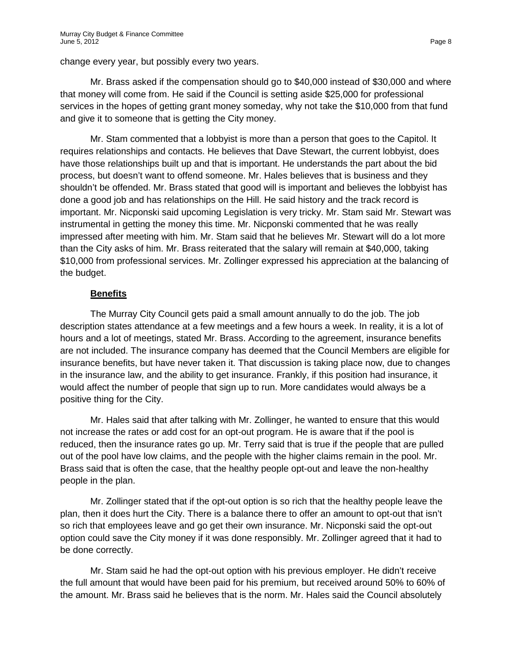change every year, but possibly every two years.

Mr. Brass asked if the compensation should go to \$40,000 instead of \$30,000 and where that money will come from. He said if the Council is setting aside \$25,000 for professional services in the hopes of getting grant money someday, why not take the \$10,000 from that fund and give it to someone that is getting the City money.

Mr. Stam commented that a lobbyist is more than a person that goes to the Capitol. It requires relationships and contacts. He believes that Dave Stewart, the current lobbyist, does have those relationships built up and that is important. He understands the part about the bid process, but doesn't want to offend someone. Mr. Hales believes that is business and they shouldn't be offended. Mr. Brass stated that good will is important and believes the lobbyist has done a good job and has relationships on the Hill. He said history and the track record is important. Mr. Nicponski said upcoming Legislation is very tricky. Mr. Stam said Mr. Stewart was instrumental in getting the money this time. Mr. Nicponski commented that he was really impressed after meeting with him. Mr. Stam said that he believes Mr. Stewart will do a lot more than the City asks of him. Mr. Brass reiterated that the salary will remain at \$40,000, taking \$10,000 from professional services. Mr. Zollinger expressed his appreciation at the balancing of the budget.

# **Benefits**

The Murray City Council gets paid a small amount annually to do the job. The job description states attendance at a few meetings and a few hours a week. In reality, it is a lot of hours and a lot of meetings, stated Mr. Brass. According to the agreement, insurance benefits are not included. The insurance company has deemed that the Council Members are eligible for insurance benefits, but have never taken it. That discussion is taking place now, due to changes in the insurance law, and the ability to get insurance. Frankly, if this position had insurance, it would affect the number of people that sign up to run. More candidates would always be a positive thing for the City.

Mr. Hales said that after talking with Mr. Zollinger, he wanted to ensure that this would not increase the rates or add cost for an opt-out program. He is aware that if the pool is reduced, then the insurance rates go up. Mr. Terry said that is true if the people that are pulled out of the pool have low claims, and the people with the higher claims remain in the pool. Mr. Brass said that is often the case, that the healthy people opt-out and leave the non-healthy people in the plan.

Mr. Zollinger stated that if the opt-out option is so rich that the healthy people leave the plan, then it does hurt the City. There is a balance there to offer an amount to opt-out that isn't so rich that employees leave and go get their own insurance. Mr. Nicponski said the opt-out option could save the City money if it was done responsibly. Mr. Zollinger agreed that it had to be done correctly.

Mr. Stam said he had the opt-out option with his previous employer. He didn't receive the full amount that would have been paid for his premium, but received around 50% to 60% of the amount. Mr. Brass said he believes that is the norm. Mr. Hales said the Council absolutely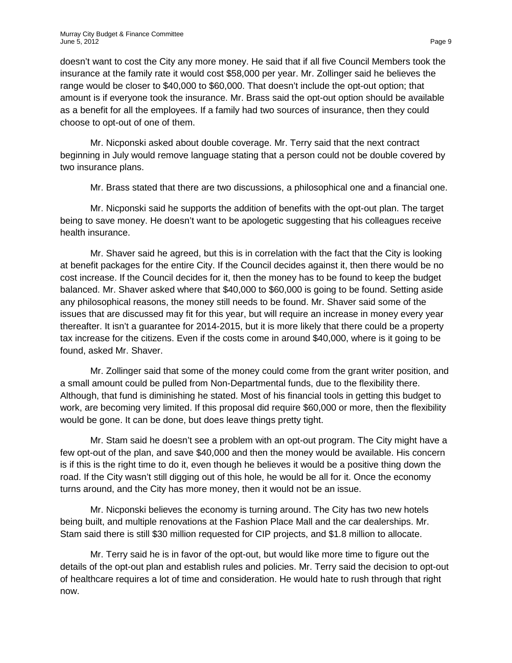doesn't want to cost the City any more money. He said that if all five Council Members took the insurance at the family rate it would cost \$58,000 per year. Mr. Zollinger said he believes the range would be closer to \$40,000 to \$60,000. That doesn't include the opt-out option; that amount is if everyone took the insurance. Mr. Brass said the opt-out option should be available as a benefit for all the employees. If a family had two sources of insurance, then they could choose to opt-out of one of them.

Mr. Nicponski asked about double coverage. Mr. Terry said that the next contract beginning in July would remove language stating that a person could not be double covered by two insurance plans.

Mr. Brass stated that there are two discussions, a philosophical one and a financial one.

Mr. Nicponski said he supports the addition of benefits with the opt-out plan. The target being to save money. He doesn't want to be apologetic suggesting that his colleagues receive health insurance.

Mr. Shaver said he agreed, but this is in correlation with the fact that the City is looking at benefit packages for the entire City. If the Council decides against it, then there would be no cost increase. If the Council decides for it, then the money has to be found to keep the budget balanced. Mr. Shaver asked where that \$40,000 to \$60,000 is going to be found. Setting aside any philosophical reasons, the money still needs to be found. Mr. Shaver said some of the issues that are discussed may fit for this year, but will require an increase in money every year thereafter. It isn't a guarantee for 2014-2015, but it is more likely that there could be a property tax increase for the citizens. Even if the costs come in around \$40,000, where is it going to be found, asked Mr. Shaver.

Mr. Zollinger said that some of the money could come from the grant writer position, and a small amount could be pulled from Non-Departmental funds, due to the flexibility there. Although, that fund is diminishing he stated. Most of his financial tools in getting this budget to work, are becoming very limited. If this proposal did require \$60,000 or more, then the flexibility would be gone. It can be done, but does leave things pretty tight.

Mr. Stam said he doesn't see a problem with an opt-out program. The City might have a few opt-out of the plan, and save \$40,000 and then the money would be available. His concern is if this is the right time to do it, even though he believes it would be a positive thing down the road. If the City wasn't still digging out of this hole, he would be all for it. Once the economy turns around, and the City has more money, then it would not be an issue.

Mr. Nicponski believes the economy is turning around. The City has two new hotels being built, and multiple renovations at the Fashion Place Mall and the car dealerships. Mr. Stam said there is still \$30 million requested for CIP projects, and \$1.8 million to allocate.

Mr. Terry said he is in favor of the opt-out, but would like more time to figure out the details of the opt-out plan and establish rules and policies. Mr. Terry said the decision to opt-out of healthcare requires a lot of time and consideration. He would hate to rush through that right now.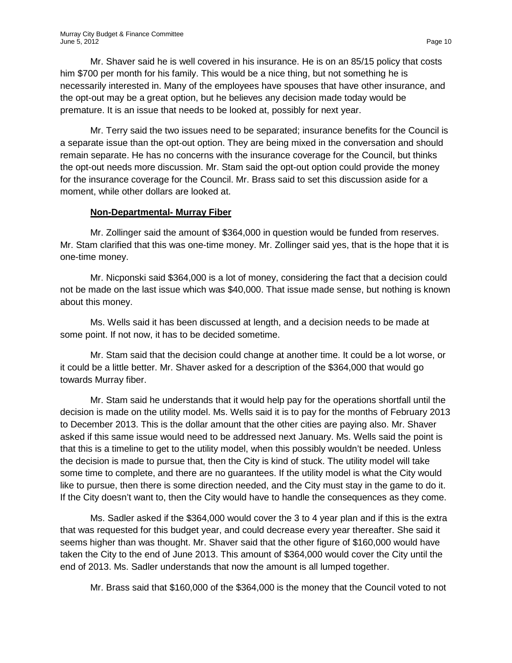Mr. Shaver said he is well covered in his insurance. He is on an 85/15 policy that costs him \$700 per month for his family. This would be a nice thing, but not something he is necessarily interested in. Many of the employees have spouses that have other insurance, and the opt-out may be a great option, but he believes any decision made today would be premature. It is an issue that needs to be looked at, possibly for next year.

Mr. Terry said the two issues need to be separated; insurance benefits for the Council is a separate issue than the opt-out option. They are being mixed in the conversation and should remain separate. He has no concerns with the insurance coverage for the Council, but thinks the opt-out needs more discussion. Mr. Stam said the opt-out option could provide the money for the insurance coverage for the Council. Mr. Brass said to set this discussion aside for a moment, while other dollars are looked at.

### **Non-Departmental- Murray Fiber**

Mr. Zollinger said the amount of \$364,000 in question would be funded from reserves. Mr. Stam clarified that this was one-time money. Mr. Zollinger said yes, that is the hope that it is one-time money.

Mr. Nicponski said \$364,000 is a lot of money, considering the fact that a decision could not be made on the last issue which was \$40,000. That issue made sense, but nothing is known about this money.

Ms. Wells said it has been discussed at length, and a decision needs to be made at some point. If not now, it has to be decided sometime.

Mr. Stam said that the decision could change at another time. It could be a lot worse, or it could be a little better. Mr. Shaver asked for a description of the \$364,000 that would go towards Murray fiber.

Mr. Stam said he understands that it would help pay for the operations shortfall until the decision is made on the utility model. Ms. Wells said it is to pay for the months of February 2013 to December 2013. This is the dollar amount that the other cities are paying also. Mr. Shaver asked if this same issue would need to be addressed next January. Ms. Wells said the point is that this is a timeline to get to the utility model, when this possibly wouldn't be needed. Unless the decision is made to pursue that, then the City is kind of stuck. The utility model will take some time to complete, and there are no guarantees. If the utility model is what the City would like to pursue, then there is some direction needed, and the City must stay in the game to do it. If the City doesn't want to, then the City would have to handle the consequences as they come.

Ms. Sadler asked if the \$364,000 would cover the 3 to 4 year plan and if this is the extra that was requested for this budget year, and could decrease every year thereafter. She said it seems higher than was thought. Mr. Shaver said that the other figure of \$160,000 would have taken the City to the end of June 2013. This amount of \$364,000 would cover the City until the end of 2013. Ms. Sadler understands that now the amount is all lumped together.

Mr. Brass said that \$160,000 of the \$364,000 is the money that the Council voted to not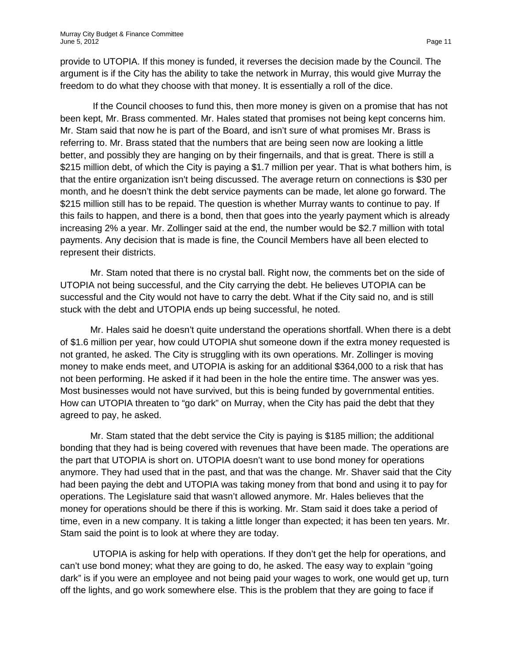provide to UTOPIA. If this money is funded, it reverses the decision made by the Council. The argument is if the City has the ability to take the network in Murray, this would give Murray the freedom to do what they choose with that money. It is essentially a roll of the dice.

If the Council chooses to fund this, then more money is given on a promise that has not been kept, Mr. Brass commented. Mr. Hales stated that promises not being kept concerns him. Mr. Stam said that now he is part of the Board, and isn't sure of what promises Mr. Brass is referring to. Mr. Brass stated that the numbers that are being seen now are looking a little better, and possibly they are hanging on by their fingernails, and that is great. There is still a \$215 million debt, of which the City is paying a \$1.7 million per year. That is what bothers him, is that the entire organization isn't being discussed. The average return on connections is \$30 per month, and he doesn't think the debt service payments can be made, let alone go forward. The \$215 million still has to be repaid. The question is whether Murray wants to continue to pay. If this fails to happen, and there is a bond, then that goes into the yearly payment which is already increasing 2% a year. Mr. Zollinger said at the end, the number would be \$2.7 million with total payments. Any decision that is made is fine, the Council Members have all been elected to represent their districts.

Mr. Stam noted that there is no crystal ball. Right now, the comments bet on the side of UTOPIA not being successful, and the City carrying the debt. He believes UTOPIA can be successful and the City would not have to carry the debt. What if the City said no, and is still stuck with the debt and UTOPIA ends up being successful, he noted.

Mr. Hales said he doesn't quite understand the operations shortfall. When there is a debt of \$1.6 million per year, how could UTOPIA shut someone down if the extra money requested is not granted, he asked. The City is struggling with its own operations. Mr. Zollinger is moving money to make ends meet, and UTOPIA is asking for an additional \$364,000 to a risk that has not been performing. He asked if it had been in the hole the entire time. The answer was yes. Most businesses would not have survived, but this is being funded by governmental entities. How can UTOPIA threaten to "go dark" on Murray, when the City has paid the debt that they agreed to pay, he asked.

Mr. Stam stated that the debt service the City is paying is \$185 million; the additional bonding that they had is being covered with revenues that have been made. The operations are the part that UTOPIA is short on. UTOPIA doesn't want to use bond money for operations anymore. They had used that in the past, and that was the change. Mr. Shaver said that the City had been paying the debt and UTOPIA was taking money from that bond and using it to pay for operations. The Legislature said that wasn't allowed anymore. Mr. Hales believes that the money for operations should be there if this is working. Mr. Stam said it does take a period of time, even in a new company. It is taking a little longer than expected; it has been ten years. Mr. Stam said the point is to look at where they are today.

UTOPIA is asking for help with operations. If they don't get the help for operations, and can't use bond money; what they are going to do, he asked. The easy way to explain "going dark" is if you were an employee and not being paid your wages to work, one would get up, turn off the lights, and go work somewhere else. This is the problem that they are going to face if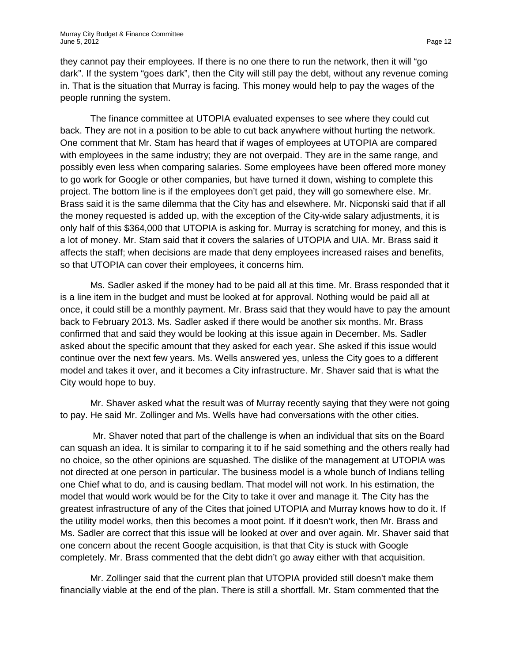they cannot pay their employees. If there is no one there to run the network, then it will "go dark". If the system "goes dark", then the City will still pay the debt, without any revenue coming in. That is the situation that Murray is facing. This money would help to pay the wages of the people running the system.

The finance committee at UTOPIA evaluated expenses to see where they could cut back. They are not in a position to be able to cut back anywhere without hurting the network. One comment that Mr. Stam has heard that if wages of employees at UTOPIA are compared with employees in the same industry; they are not overpaid. They are in the same range, and possibly even less when comparing salaries. Some employees have been offered more money to go work for Google or other companies, but have turned it down, wishing to complete this project. The bottom line is if the employees don't get paid, they will go somewhere else. Mr. Brass said it is the same dilemma that the City has and elsewhere. Mr. Nicponski said that if all the money requested is added up, with the exception of the City-wide salary adjustments, it is only half of this \$364,000 that UTOPIA is asking for. Murray is scratching for money, and this is a lot of money. Mr. Stam said that it covers the salaries of UTOPIA and UIA. Mr. Brass said it affects the staff; when decisions are made that deny employees increased raises and benefits, so that UTOPIA can cover their employees, it concerns him.

Ms. Sadler asked if the money had to be paid all at this time. Mr. Brass responded that it is a line item in the budget and must be looked at for approval. Nothing would be paid all at once, it could still be a monthly payment. Mr. Brass said that they would have to pay the amount back to February 2013. Ms. Sadler asked if there would be another six months. Mr. Brass confirmed that and said they would be looking at this issue again in December. Ms. Sadler asked about the specific amount that they asked for each year. She asked if this issue would continue over the next few years. Ms. Wells answered yes, unless the City goes to a different model and takes it over, and it becomes a City infrastructure. Mr. Shaver said that is what the City would hope to buy.

Mr. Shaver asked what the result was of Murray recently saying that they were not going to pay. He said Mr. Zollinger and Ms. Wells have had conversations with the other cities.

Mr. Shaver noted that part of the challenge is when an individual that sits on the Board can squash an idea. It is similar to comparing it to if he said something and the others really had no choice, so the other opinions are squashed. The dislike of the management at UTOPIA was not directed at one person in particular. The business model is a whole bunch of Indians telling one Chief what to do, and is causing bedlam. That model will not work. In his estimation, the model that would work would be for the City to take it over and manage it. The City has the greatest infrastructure of any of the Cites that joined UTOPIA and Murray knows how to do it. If the utility model works, then this becomes a moot point. If it doesn't work, then Mr. Brass and Ms. Sadler are correct that this issue will be looked at over and over again. Mr. Shaver said that one concern about the recent Google acquisition, is that that City is stuck with Google completely. Mr. Brass commented that the debt didn't go away either with that acquisition.

Mr. Zollinger said that the current plan that UTOPIA provided still doesn't make them financially viable at the end of the plan. There is still a shortfall. Mr. Stam commented that the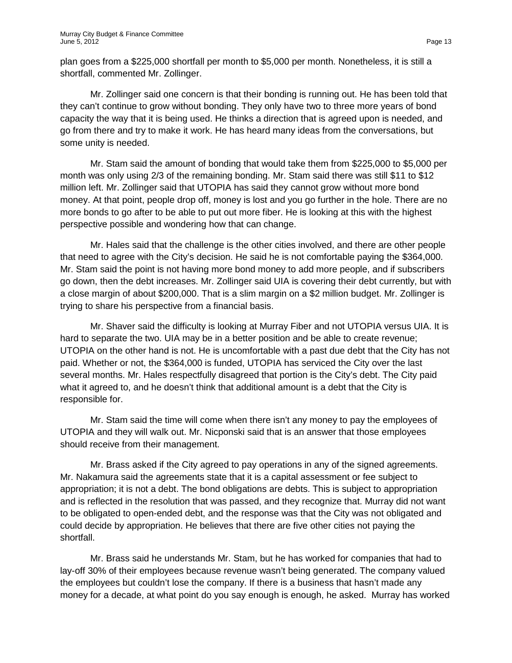plan goes from a \$225,000 shortfall per month to \$5,000 per month. Nonetheless, it is still a shortfall, commented Mr. Zollinger.

Mr. Zollinger said one concern is that their bonding is running out. He has been told that they can't continue to grow without bonding. They only have two to three more years of bond capacity the way that it is being used. He thinks a direction that is agreed upon is needed, and go from there and try to make it work. He has heard many ideas from the conversations, but some unity is needed.

Mr. Stam said the amount of bonding that would take them from \$225,000 to \$5,000 per month was only using 2/3 of the remaining bonding. Mr. Stam said there was still \$11 to \$12 million left. Mr. Zollinger said that UTOPIA has said they cannot grow without more bond money. At that point, people drop off, money is lost and you go further in the hole. There are no more bonds to go after to be able to put out more fiber. He is looking at this with the highest perspective possible and wondering how that can change.

Mr. Hales said that the challenge is the other cities involved, and there are other people that need to agree with the City's decision. He said he is not comfortable paying the \$364,000. Mr. Stam said the point is not having more bond money to add more people, and if subscribers go down, then the debt increases. Mr. Zollinger said UIA is covering their debt currently, but with a close margin of about \$200,000. That is a slim margin on a \$2 million budget. Mr. Zollinger is trying to share his perspective from a financial basis.

Mr. Shaver said the difficulty is looking at Murray Fiber and not UTOPIA versus UIA. It is hard to separate the two. UIA may be in a better position and be able to create revenue; UTOPIA on the other hand is not. He is uncomfortable with a past due debt that the City has not paid. Whether or not, the \$364,000 is funded, UTOPIA has serviced the City over the last several months. Mr. Hales respectfully disagreed that portion is the City's debt. The City paid what it agreed to, and he doesn't think that additional amount is a debt that the City is responsible for.

Mr. Stam said the time will come when there isn't any money to pay the employees of UTOPIA and they will walk out. Mr. Nicponski said that is an answer that those employees should receive from their management.

Mr. Brass asked if the City agreed to pay operations in any of the signed agreements. Mr. Nakamura said the agreements state that it is a capital assessment or fee subject to appropriation; it is not a debt. The bond obligations are debts. This is subject to appropriation and is reflected in the resolution that was passed, and they recognize that. Murray did not want to be obligated to open-ended debt, and the response was that the City was not obligated and could decide by appropriation. He believes that there are five other cities not paying the shortfall.

Mr. Brass said he understands Mr. Stam, but he has worked for companies that had to lay-off 30% of their employees because revenue wasn't being generated. The company valued the employees but couldn't lose the company. If there is a business that hasn't made any money for a decade, at what point do you say enough is enough, he asked. Murray has worked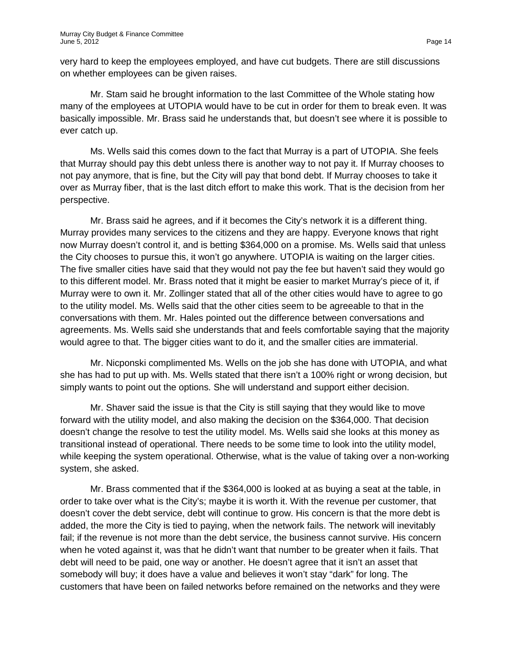very hard to keep the employees employed, and have cut budgets. There are still discussions on whether employees can be given raises.

Mr. Stam said he brought information to the last Committee of the Whole stating how many of the employees at UTOPIA would have to be cut in order for them to break even. It was basically impossible. Mr. Brass said he understands that, but doesn't see where it is possible to ever catch up.

Ms. Wells said this comes down to the fact that Murray is a part of UTOPIA. She feels that Murray should pay this debt unless there is another way to not pay it. If Murray chooses to not pay anymore, that is fine, but the City will pay that bond debt. If Murray chooses to take it over as Murray fiber, that is the last ditch effort to make this work. That is the decision from her perspective.

Mr. Brass said he agrees, and if it becomes the City's network it is a different thing. Murray provides many services to the citizens and they are happy. Everyone knows that right now Murray doesn't control it, and is betting \$364,000 on a promise. Ms. Wells said that unless the City chooses to pursue this, it won't go anywhere. UTOPIA is waiting on the larger cities. The five smaller cities have said that they would not pay the fee but haven't said they would go to this different model. Mr. Brass noted that it might be easier to market Murray's piece of it, if Murray were to own it. Mr. Zollinger stated that all of the other cities would have to agree to go to the utility model. Ms. Wells said that the other cities seem to be agreeable to that in the conversations with them. Mr. Hales pointed out the difference between conversations and agreements. Ms. Wells said she understands that and feels comfortable saying that the majority would agree to that. The bigger cities want to do it, and the smaller cities are immaterial.

Mr. Nicponski complimented Ms. Wells on the job she has done with UTOPIA, and what she has had to put up with. Ms. Wells stated that there isn't a 100% right or wrong decision, but simply wants to point out the options. She will understand and support either decision.

Mr. Shaver said the issue is that the City is still saying that they would like to move forward with the utility model, and also making the decision on the \$364,000. That decision doesn't change the resolve to test the utility model. Ms. Wells said she looks at this money as transitional instead of operational. There needs to be some time to look into the utility model, while keeping the system operational. Otherwise, what is the value of taking over a non-working system, she asked.

Mr. Brass commented that if the \$364,000 is looked at as buying a seat at the table, in order to take over what is the City's; maybe it is worth it. With the revenue per customer, that doesn't cover the debt service, debt will continue to grow. His concern is that the more debt is added, the more the City is tied to paying, when the network fails. The network will inevitably fail; if the revenue is not more than the debt service, the business cannot survive. His concern when he voted against it, was that he didn't want that number to be greater when it fails. That debt will need to be paid, one way or another. He doesn't agree that it isn't an asset that somebody will buy; it does have a value and believes it won't stay "dark" for long. The customers that have been on failed networks before remained on the networks and they were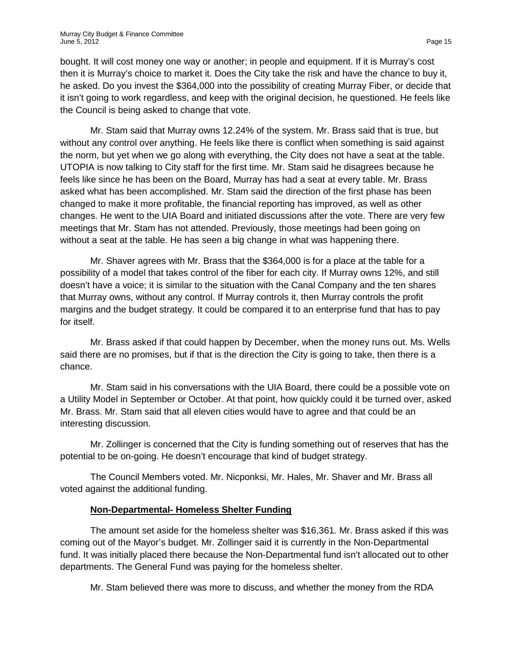bought. It will cost money one way or another; in people and equipment. If it is Murray's cost then it is Murray's choice to market it. Does the City take the risk and have the chance to buy it, he asked. Do you invest the \$364,000 into the possibility of creating Murray Fiber, or decide that it isn't going to work regardless, and keep with the original decision, he questioned. He feels like the Council is being asked to change that vote.

Mr. Stam said that Murray owns 12.24% of the system. Mr. Brass said that is true, but without any control over anything. He feels like there is conflict when something is said against the norm, but yet when we go along with everything, the City does not have a seat at the table. UTOPIA is now talking to City staff for the first time. Mr. Stam said he disagrees because he feels like since he has been on the Board, Murray has had a seat at every table. Mr. Brass asked what has been accomplished. Mr. Stam said the direction of the first phase has been changed to make it more profitable, the financial reporting has improved, as well as other changes. He went to the UIA Board and initiated discussions after the vote. There are very few meetings that Mr. Stam has not attended. Previously, those meetings had been going on without a seat at the table. He has seen a big change in what was happening there.

Mr. Shaver agrees with Mr. Brass that the \$364,000 is for a place at the table for a possibility of a model that takes control of the fiber for each city. If Murray owns 12%, and still doesn't have a voice; it is similar to the situation with the Canal Company and the ten shares that Murray owns, without any control. If Murray controls it, then Murray controls the profit margins and the budget strategy. It could be compared it to an enterprise fund that has to pay for itself.

Mr. Brass asked if that could happen by December, when the money runs out. Ms. Wells said there are no promises, but if that is the direction the City is going to take, then there is a chance.

Mr. Stam said in his conversations with the UIA Board, there could be a possible vote on a Utility Model in September or October. At that point, how quickly could it be turned over, asked Mr. Brass. Mr. Stam said that all eleven cities would have to agree and that could be an interesting discussion.

Mr. Zollinger is concerned that the City is funding something out of reserves that has the potential to be on-going. He doesn't encourage that kind of budget strategy.

The Council Members voted. Mr. Nicponksi, Mr. Hales, Mr. Shaver and Mr. Brass all voted against the additional funding.

# **Non-Departmental- Homeless Shelter Funding**

The amount set aside for the homeless shelter was \$16,361. Mr. Brass asked if this was coming out of the Mayor's budget. Mr. Zollinger said it is currently in the Non-Departmental fund. It was initially placed there because the Non-Departmental fund isn't allocated out to other departments. The General Fund was paying for the homeless shelter.

Mr. Stam believed there was more to discuss, and whether the money from the RDA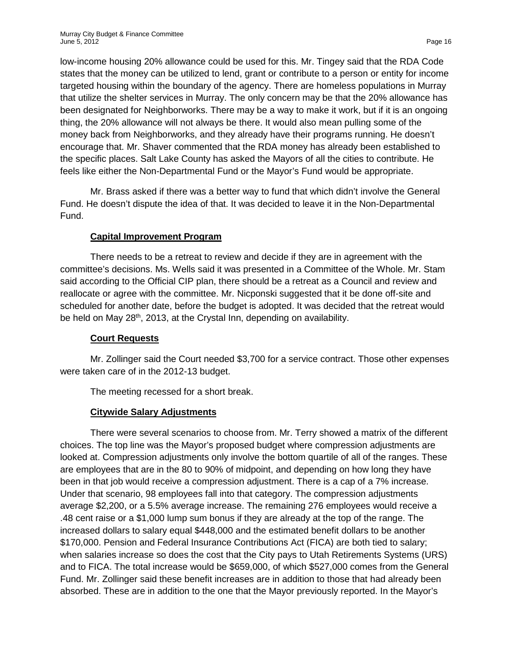low-income housing 20% allowance could be used for this. Mr. Tingey said that the RDA Code states that the money can be utilized to lend, grant or contribute to a person or entity for income targeted housing within the boundary of the agency. There are homeless populations in Murray that utilize the shelter services in Murray. The only concern may be that the 20% allowance has been designated for Neighborworks. There may be a way to make it work, but if it is an ongoing thing, the 20% allowance will not always be there. It would also mean pulling some of the money back from Neighborworks, and they already have their programs running. He doesn't encourage that. Mr. Shaver commented that the RDA money has already been established to the specific places. Salt Lake County has asked the Mayors of all the cities to contribute. He feels like either the Non-Departmental Fund or the Mayor's Fund would be appropriate.

Mr. Brass asked if there was a better way to fund that which didn't involve the General Fund. He doesn't dispute the idea of that. It was decided to leave it in the Non-Departmental Fund.

### **Capital Improvement Program**

There needs to be a retreat to review and decide if they are in agreement with the committee's decisions. Ms. Wells said it was presented in a Committee of the Whole. Mr. Stam said according to the Official CIP plan, there should be a retreat as a Council and review and reallocate or agree with the committee. Mr. Nicponski suggested that it be done off-site and scheduled for another date, before the budget is adopted. It was decided that the retreat would be held on May 28<sup>th</sup>, 2013, at the Crystal Inn, depending on availability.

#### **Court Requests**

Mr. Zollinger said the Court needed \$3,700 for a service contract. Those other expenses were taken care of in the 2012-13 budget.

The meeting recessed for a short break.

# **Citywide Salary Adjustments**

There were several scenarios to choose from. Mr. Terry showed a matrix of the different choices. The top line was the Mayor's proposed budget where compression adjustments are looked at. Compression adjustments only involve the bottom quartile of all of the ranges. These are employees that are in the 80 to 90% of midpoint, and depending on how long they have been in that job would receive a compression adjustment. There is a cap of a 7% increase. Under that scenario, 98 employees fall into that category. The compression adjustments average \$2,200, or a 5.5% average increase. The remaining 276 employees would receive a .48 cent raise or a \$1,000 lump sum bonus if they are already at the top of the range. The increased dollars to salary equal \$448,000 and the estimated benefit dollars to be another \$170,000. Pension and Federal Insurance Contributions Act (FICA) are both tied to salary; when salaries increase so does the cost that the City pays to Utah Retirements Systems (URS) and to FICA. The total increase would be \$659,000, of which \$527,000 comes from the General Fund. Mr. Zollinger said these benefit increases are in addition to those that had already been absorbed. These are in addition to the one that the Mayor previously reported. In the Mayor's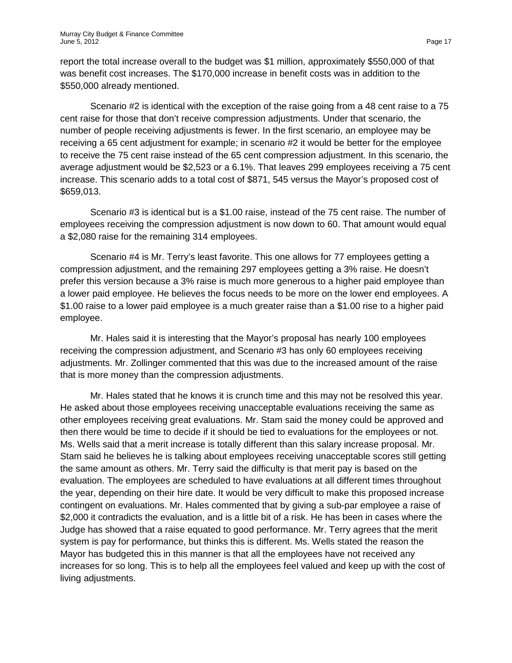report the total increase overall to the budget was \$1 million, approximately \$550,000 of that was benefit cost increases. The \$170,000 increase in benefit costs was in addition to the \$550,000 already mentioned.

Scenario #2 is identical with the exception of the raise going from a 48 cent raise to a 75 cent raise for those that don't receive compression adjustments. Under that scenario, the number of people receiving adjustments is fewer. In the first scenario, an employee may be receiving a 65 cent adjustment for example; in scenario #2 it would be better for the employee to receive the 75 cent raise instead of the 65 cent compression adjustment. In this scenario, the average adjustment would be \$2,523 or a 6.1%. That leaves 299 employees receiving a 75 cent increase. This scenario adds to a total cost of \$871, 545 versus the Mayor's proposed cost of \$659,013.

Scenario #3 is identical but is a \$1.00 raise, instead of the 75 cent raise. The number of employees receiving the compression adjustment is now down to 60. That amount would equal a \$2,080 raise for the remaining 314 employees.

Scenario #4 is Mr. Terry's least favorite. This one allows for 77 employees getting a compression adjustment, and the remaining 297 employees getting a 3% raise. He doesn't prefer this version because a 3% raise is much more generous to a higher paid employee than a lower paid employee. He believes the focus needs to be more on the lower end employees. A \$1.00 raise to a lower paid employee is a much greater raise than a \$1.00 rise to a higher paid employee.

Mr. Hales said it is interesting that the Mayor's proposal has nearly 100 employees receiving the compression adjustment, and Scenario #3 has only 60 employees receiving adjustments. Mr. Zollinger commented that this was due to the increased amount of the raise that is more money than the compression adjustments.

Mr. Hales stated that he knows it is crunch time and this may not be resolved this year. He asked about those employees receiving unacceptable evaluations receiving the same as other employees receiving great evaluations. Mr. Stam said the money could be approved and then there would be time to decide if it should be tied to evaluations for the employees or not. Ms. Wells said that a merit increase is totally different than this salary increase proposal. Mr. Stam said he believes he is talking about employees receiving unacceptable scores still getting the same amount as others. Mr. Terry said the difficulty is that merit pay is based on the evaluation. The employees are scheduled to have evaluations at all different times throughout the year, depending on their hire date. It would be very difficult to make this proposed increase contingent on evaluations. Mr. Hales commented that by giving a sub-par employee a raise of \$2,000 it contradicts the evaluation, and is a little bit of a risk. He has been in cases where the Judge has showed that a raise equated to good performance. Mr. Terry agrees that the merit system is pay for performance, but thinks this is different. Ms. Wells stated the reason the Mayor has budgeted this in this manner is that all the employees have not received any increases for so long. This is to help all the employees feel valued and keep up with the cost of living adjustments.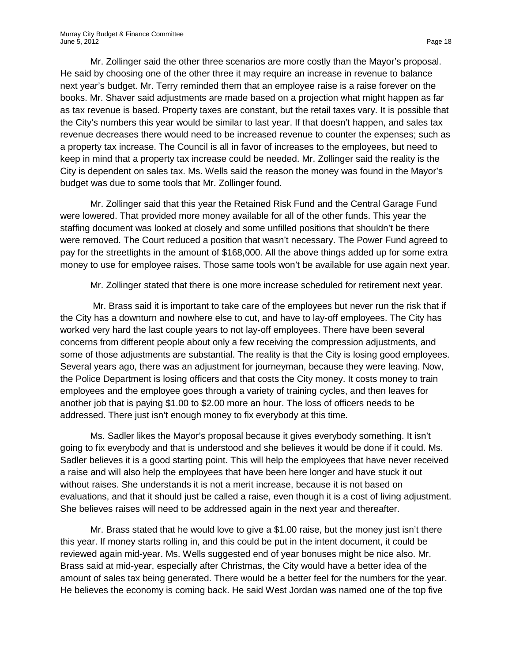Mr. Zollinger said the other three scenarios are more costly than the Mayor's proposal. He said by choosing one of the other three it may require an increase in revenue to balance next year's budget. Mr. Terry reminded them that an employee raise is a raise forever on the books. Mr. Shaver said adjustments are made based on a projection what might happen as far as tax revenue is based. Property taxes are constant, but the retail taxes vary. It is possible that the City's numbers this year would be similar to last year. If that doesn't happen, and sales tax revenue decreases there would need to be increased revenue to counter the expenses; such as a property tax increase. The Council is all in favor of increases to the employees, but need to keep in mind that a property tax increase could be needed. Mr. Zollinger said the reality is the City is dependent on sales tax. Ms. Wells said the reason the money was found in the Mayor's budget was due to some tools that Mr. Zollinger found.

Mr. Zollinger said that this year the Retained Risk Fund and the Central Garage Fund were lowered. That provided more money available for all of the other funds. This year the staffing document was looked at closely and some unfilled positions that shouldn't be there were removed. The Court reduced a position that wasn't necessary. The Power Fund agreed to pay for the streetlights in the amount of \$168,000. All the above things added up for some extra money to use for employee raises. Those same tools won't be available for use again next year.

Mr. Zollinger stated that there is one more increase scheduled for retirement next year.

Mr. Brass said it is important to take care of the employees but never run the risk that if the City has a downturn and nowhere else to cut, and have to lay-off employees. The City has worked very hard the last couple years to not lay-off employees. There have been several concerns from different people about only a few receiving the compression adjustments, and some of those adjustments are substantial. The reality is that the City is losing good employees. Several years ago, there was an adjustment for journeyman, because they were leaving. Now, the Police Department is losing officers and that costs the City money. It costs money to train employees and the employee goes through a variety of training cycles, and then leaves for another job that is paying \$1.00 to \$2.00 more an hour. The loss of officers needs to be addressed. There just isn't enough money to fix everybody at this time.

Ms. Sadler likes the Mayor's proposal because it gives everybody something. It isn't going to fix everybody and that is understood and she believes it would be done if it could. Ms. Sadler believes it is a good starting point. This will help the employees that have never received a raise and will also help the employees that have been here longer and have stuck it out without raises. She understands it is not a merit increase, because it is not based on evaluations, and that it should just be called a raise, even though it is a cost of living adjustment. She believes raises will need to be addressed again in the next year and thereafter.

Mr. Brass stated that he would love to give a \$1.00 raise, but the money just isn't there this year. If money starts rolling in, and this could be put in the intent document, it could be reviewed again mid-year. Ms. Wells suggested end of year bonuses might be nice also. Mr. Brass said at mid-year, especially after Christmas, the City would have a better idea of the amount of sales tax being generated. There would be a better feel for the numbers for the year. He believes the economy is coming back. He said West Jordan was named one of the top five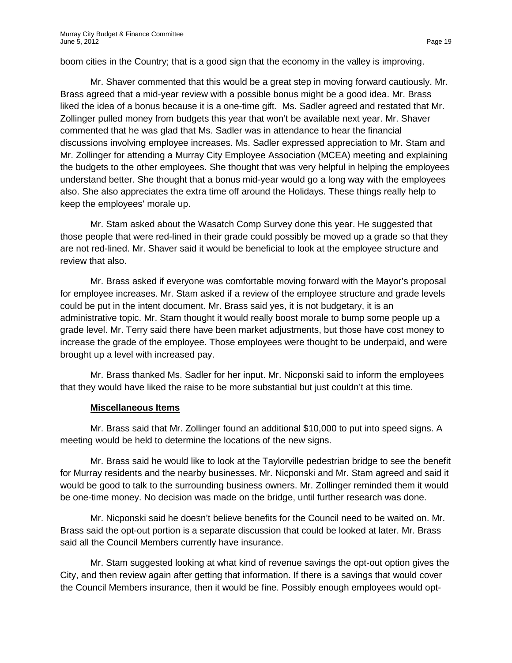boom cities in the Country; that is a good sign that the economy in the valley is improving.

Mr. Shaver commented that this would be a great step in moving forward cautiously. Mr. Brass agreed that a mid-year review with a possible bonus might be a good idea. Mr. Brass liked the idea of a bonus because it is a one-time gift. Ms. Sadler agreed and restated that Mr. Zollinger pulled money from budgets this year that won't be available next year. Mr. Shaver commented that he was glad that Ms. Sadler was in attendance to hear the financial discussions involving employee increases. Ms. Sadler expressed appreciation to Mr. Stam and Mr. Zollinger for attending a Murray City Employee Association (MCEA) meeting and explaining the budgets to the other employees. She thought that was very helpful in helping the employees understand better. She thought that a bonus mid-year would go a long way with the employees also. She also appreciates the extra time off around the Holidays. These things really help to keep the employees' morale up.

Mr. Stam asked about the Wasatch Comp Survey done this year. He suggested that those people that were red-lined in their grade could possibly be moved up a grade so that they are not red-lined. Mr. Shaver said it would be beneficial to look at the employee structure and review that also.

Mr. Brass asked if everyone was comfortable moving forward with the Mayor's proposal for employee increases. Mr. Stam asked if a review of the employee structure and grade levels could be put in the intent document. Mr. Brass said yes, it is not budgetary, it is an administrative topic. Mr. Stam thought it would really boost morale to bump some people up a grade level. Mr. Terry said there have been market adjustments, but those have cost money to increase the grade of the employee. Those employees were thought to be underpaid, and were brought up a level with increased pay.

Mr. Brass thanked Ms. Sadler for her input. Mr. Nicponski said to inform the employees that they would have liked the raise to be more substantial but just couldn't at this time.

#### **Miscellaneous Items**

Mr. Brass said that Mr. Zollinger found an additional \$10,000 to put into speed signs. A meeting would be held to determine the locations of the new signs.

Mr. Brass said he would like to look at the Taylorville pedestrian bridge to see the benefit for Murray residents and the nearby businesses. Mr. Nicponski and Mr. Stam agreed and said it would be good to talk to the surrounding business owners. Mr. Zollinger reminded them it would be one-time money. No decision was made on the bridge, until further research was done.

Mr. Nicponski said he doesn't believe benefits for the Council need to be waited on. Mr. Brass said the opt-out portion is a separate discussion that could be looked at later. Mr. Brass said all the Council Members currently have insurance.

Mr. Stam suggested looking at what kind of revenue savings the opt-out option gives the City, and then review again after getting that information. If there is a savings that would cover the Council Members insurance, then it would be fine. Possibly enough employees would opt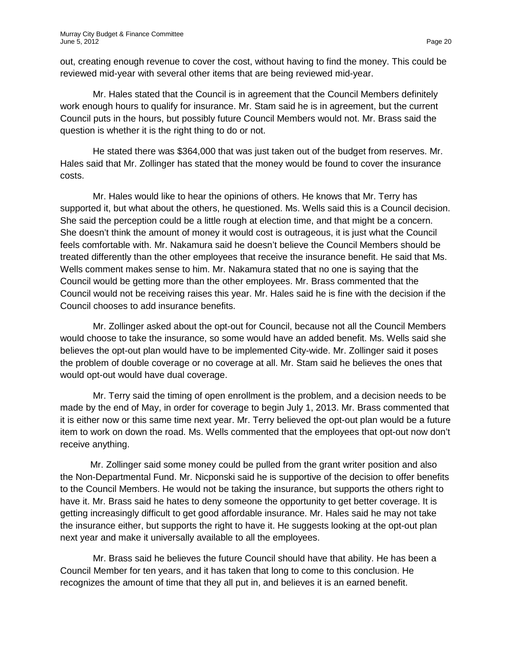out, creating enough revenue to cover the cost, without having to find the money. This could be reviewed mid-year with several other items that are being reviewed mid-year.

Mr. Hales stated that the Council is in agreement that the Council Members definitely work enough hours to qualify for insurance. Mr. Stam said he is in agreement, but the current Council puts in the hours, but possibly future Council Members would not. Mr. Brass said the question is whether it is the right thing to do or not.

He stated there was \$364,000 that was just taken out of the budget from reserves. Mr. Hales said that Mr. Zollinger has stated that the money would be found to cover the insurance costs.

Mr. Hales would like to hear the opinions of others. He knows that Mr. Terry has supported it, but what about the others, he questioned. Ms. Wells said this is a Council decision. She said the perception could be a little rough at election time, and that might be a concern. She doesn't think the amount of money it would cost is outrageous, it is just what the Council feels comfortable with. Mr. Nakamura said he doesn't believe the Council Members should be treated differently than the other employees that receive the insurance benefit. He said that Ms. Wells comment makes sense to him. Mr. Nakamura stated that no one is saying that the Council would be getting more than the other employees. Mr. Brass commented that the Council would not be receiving raises this year. Mr. Hales said he is fine with the decision if the Council chooses to add insurance benefits.

Mr. Zollinger asked about the opt-out for Council, because not all the Council Members would choose to take the insurance, so some would have an added benefit. Ms. Wells said she believes the opt-out plan would have to be implemented City-wide. Mr. Zollinger said it poses the problem of double coverage or no coverage at all. Mr. Stam said he believes the ones that would opt-out would have dual coverage.

Mr. Terry said the timing of open enrollment is the problem, and a decision needs to be made by the end of May, in order for coverage to begin July 1, 2013. Mr. Brass commented that it is either now or this same time next year. Mr. Terry believed the opt-out plan would be a future item to work on down the road. Ms. Wells commented that the employees that opt-out now don't receive anything.

Mr. Zollinger said some money could be pulled from the grant writer position and also the Non-Departmental Fund. Mr. Nicponski said he is supportive of the decision to offer benefits to the Council Members. He would not be taking the insurance, but supports the others right to have it. Mr. Brass said he hates to deny someone the opportunity to get better coverage. It is getting increasingly difficult to get good affordable insurance. Mr. Hales said he may not take the insurance either, but supports the right to have it. He suggests looking at the opt-out plan next year and make it universally available to all the employees.

Mr. Brass said he believes the future Council should have that ability. He has been a Council Member for ten years, and it has taken that long to come to this conclusion. He recognizes the amount of time that they all put in, and believes it is an earned benefit.